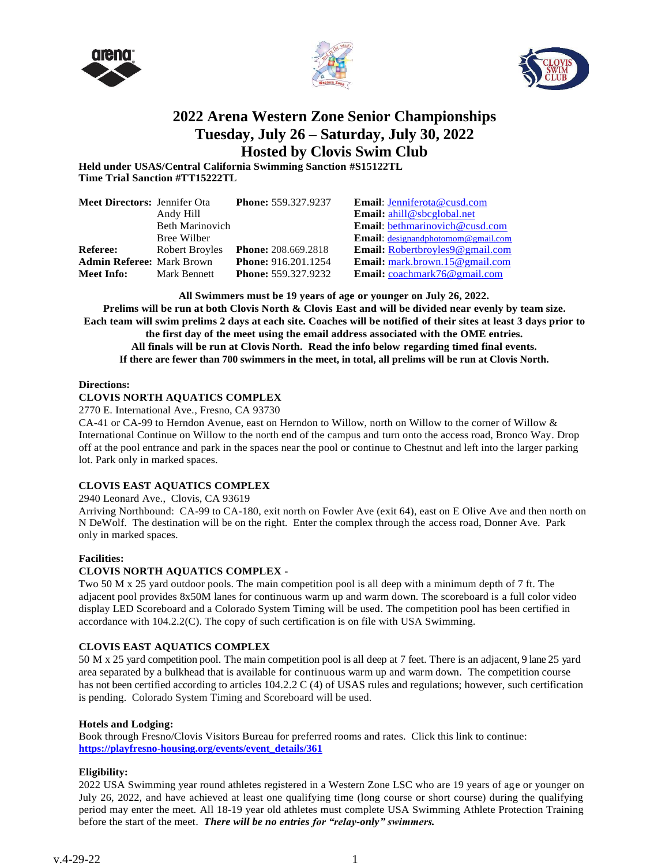





# **2022 Arena Western Zone Senior Championships Tuesday, July 26 – Saturday, July 30, 2022 Hosted by Clovis Swim Club**

**Held under USAS/Central California Swimming Sanction #S15122TL Time Trial Sanction #TT15222TL**

| <b>Meet Directors: Jennifer Ota</b> |                        | <b>Phone: 559.327.9237</b> | Email: Jenniferota@cusd.com               |
|-------------------------------------|------------------------|----------------------------|-------------------------------------------|
|                                     | Andy Hill              |                            | Email: ahill@sbcglobal.net                |
|                                     | <b>Beth Marinovich</b> |                            | <b>Email:</b> bethmarinovich@cusd.com     |
|                                     | Bree Wilber            |                            | Email: designandphotomom@gmail.com        |
| <b>Referee:</b>                     | Robert Broyles         | <b>Phone:</b> 208.669.2818 | Email: Robertbroyles9@gmail.com           |
| <b>Admin Referee: Mark Brown</b>    |                        | <b>Phone: 916.201.1254</b> | <b>Email:</b> mark.brown.15 $@$ gmail.com |
| Meet Info:                          | Mark Bennett           | <b>Phone: 559.327.9232</b> | <b>Email:</b> $coachmark76@gmail.com$     |

**All Swimmers must be 19 years of age or younger on July 26, 2022.**

**Prelims will be run at both Clovis North & Clovis East and will be divided near evenly by team size. Each team will swim prelims 2 days at each site. Coaches will be notified of their sites at least 3 days prior to the first day of the meet using the email address associated with the OME entries. All finals will be run at Clovis North. Read the info below regarding timed final events. If there are fewer than 700 swimmers in the meet, in total, all prelims will be run at Clovis North.**

# **Directions:**

# **CLOVIS NORTH AQUATICS COMPLEX**

2770 E. International Ave., Fresno, CA 93730

CA-41 or CA-99 to Herndon Avenue, east on Herndon to Willow, north on Willow to the corner of Willow & International Continue on Willow to the north end of the campus and turn onto the access road, Bronco Way. Drop off at the pool entrance and park in the spaces near the pool or continue to Chestnut and left into the larger parking lot. Park only in marked spaces.

# **CLOVIS EAST AQUATICS COMPLEX**

2940 Leonard Ave., Clovis, CA 93619

Arriving Northbound: CA-99 to CA-180, exit north on Fowler Ave (exit 64), east on E Olive Ave and then north on N DeWolf. The destination will be on the right. Enter the complex through the access road, Donner Ave. Park only in marked spaces.

# **Facilities:**

# **CLOVIS NORTH AQUATICS COMPLEX -**

Two 50 M x 25 yard outdoor pools. The main competition pool is all deep with a minimum depth of 7 ft. The adjacent pool provides 8x50M lanes for continuous warm up and warm down. The scoreboard is a full color video display LED Scoreboard and a Colorado System Timing will be used. The competition pool has been certified in accordance with 104.2.2(C). The copy of such certification is on file with USA Swimming.

# **CLOVIS EAST AQUATICS COMPLEX**

50 M x 25 yard competition pool. The main competition pool is all deep at 7 feet. There is an adjacent, 9 lane 25 yard area separated by a bulkhead that is available for continuous warm up and warm down. The competition course has not been certified according to articles 104.2.2 C (4) of USAS rules and regulations; however, such certification is pending. Colorado System Timing and Scoreboard will be used.

# **Hotels and Lodging:**

Book through Fresno/Clovis Visitors Bureau for preferred rooms and rates. Click this link to continue: **https://playfresno-housing.org/events/event\_details/361**

# **Eligibility:**

2022 USA Swimming year round athletes registered in a Western Zone LSC who are 19 years of age or younger on July 26, 2022, and have achieved at least one qualifying time (long course or short course) during the qualifying period may enter the meet. All 18-19 year old athletes must complete USA Swimming Athlete Protection Training before the start of the meet. *There will be no entries for "relay-only" swimmers.*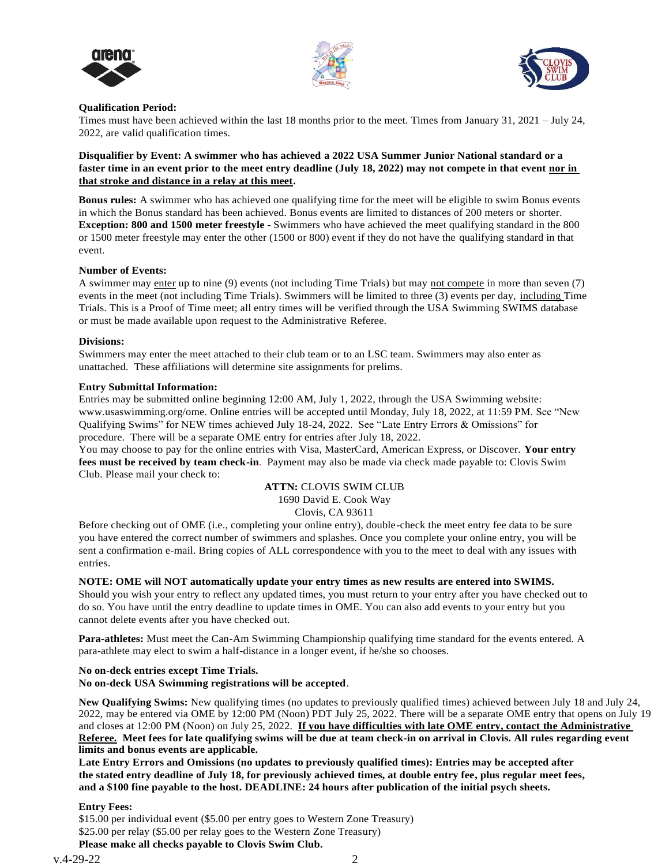





# **Qualification Period:**

Times must have been achieved within the last 18 months prior to the meet. Times from January 31, 2021 – July 24, 2022, are valid qualification times.

**Disqualifier by Event: A swimmer who has achieved a 2022 USA Summer Junior National standard or a faster time in an event prior to the meet entry deadline (July 18, 2022) may not compete in that event nor in that stroke and distance in a relay at this meet.** 

**Bonus rules:** A swimmer who has achieved one qualifying time for the meet will be eligible to swim Bonus events in which the Bonus standard has been achieved. Bonus events are limited to distances of 200 meters or shorter. **Exception: 800 and 1500 meter freestyle -** Swimmers who have achieved the meet qualifying standard in the 800 or 1500 meter freestyle may enter the other (1500 or 800) event if they do not have the qualifying standard in that event.

#### **Number of Events:**

A swimmer may enter up to nine (9) events (not including Time Trials) but may not compete in more than seven (7) events in the meet (not including Time Trials). Swimmers will be limited to three (3) events per day, including Time Trials. This is a Proof of Time meet; all entry times will be verified through the USA Swimming SWIMS database or must be made available upon request to the Administrative Referee.

#### **Divisions:**

Swimmers may enter the meet attached to their club team or to an LSC team. Swimmers may also enter as unattached. These affiliations will determine site assignments for prelims.

#### **Entry Submittal Information:**

Entries may be submitted online beginning 12:00 AM, July 1, 2022, through the USA Swimming website: www.usaswimming.org/ome. Online entries will be accepted until Monday, July 18, 2022, at 11:59 PM. See "New Qualifying Swims" for NEW times achieved July 18-24, 2022. See "Late Entry Errors & Omissions" for procedure. There will be a separate OME entry for entries after July 18, 2022.

You may choose to pay for the online entries with Visa, MasterCard, American Express, or Discover. **Your entry fees must be received by team check-in**. Payment may also be made via check made payable to: Clovis Swim Club. Please mail your check to:

# **ATTN:** CLOVIS SWIM CLUB 1690 David E. Cook Way Clovis, CA 93611

Before checking out of OME (i.e., completing your online entry), double-check the meet entry fee data to be sure you have entered the correct number of swimmers and splashes. Once you complete your online entry, you will be sent a confirmation e-mail. Bring copies of ALL correspondence with you to the meet to deal with any issues with entries.

# **NOTE: OME will NOT automatically update your entry times as new results are entered into SWIMS.**

Should you wish your entry to reflect any updated times, you must return to your entry after you have checked out to do so. You have until the entry deadline to update times in OME. You can also add events to your entry but you cannot delete events after you have checked out.

**Para-athletes:** Must meet the Can-Am Swimming Championship qualifying time standard for the events entered. A para-athlete may elect to swim a half-distance in a longer event, if he/she so chooses.

**No on-deck entries except Time Trials.**

**No on-deck USA Swimming registrations will be accepted**.

**New Qualifying Swims:** New qualifying times (no updates to previously qualified times) achieved between July 18 and July 24, 2022, may be entered via OME by 12:00 PM (Noon) PDT July 25, 2022. There will be a separate OME entry that opens on July 19 and closes at 12:00 PM (Noon) on July 25, 2022. **If you have difficulties with late OME entry, contact the Administrative Referee. Meet fees for late qualifying swims will be due at team check-in on arrival in Clovis. All rules regarding event limits and bonus events are applicable.**

**Late Entry Errors and Omissions (no updates to previously qualified times): Entries may be accepted after the stated entry deadline of July 18, for previously achieved times, at double entry fee, plus regular meet fees, and a \$100 fine payable to the host. DEADLINE: 24 hours after publication of the initial psych sheets.**

# **Entry Fees:**

\$15.00 per individual event (\$5.00 per entry goes to Western Zone Treasury) \$25.00 per relay (\$5.00 per relay goes to the Western Zone Treasury)

**Please make all checks payable to Clovis Swim Club.**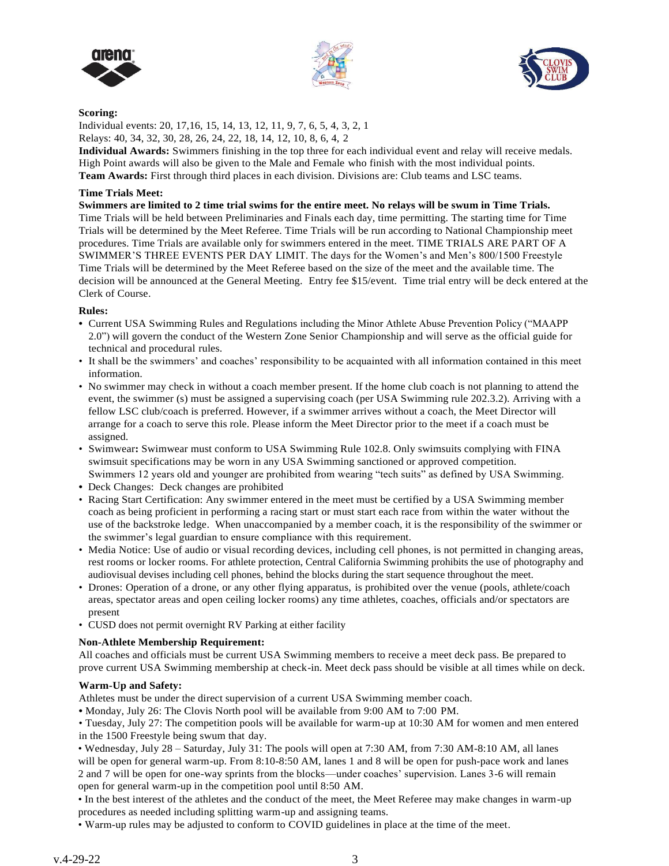





# **Scoring:**

Individual events: 20, 17,16, 15, 14, 13, 12, 11, 9, 7, 6, 5, 4, 3, 2, 1 Relays: 40, 34, 32, 30, 28, 26, 24, 22, 18, 14, 12, 10, 8, 6, 4, 2

**Individual Awards:** Swimmers finishing in the top three for each individual event and relay will receive medals. High Point awards will also be given to the Male and Female who finish with the most individual points. **Team Awards:** First through third places in each division. Divisions are: Club teams and LSC teams.

# **Time Trials Meet:**

**Swimmers are limited to 2 time trial swims for the entire meet. No relays will be swum in Time Trials.** Time Trials will be held between Preliminaries and Finals each day, time permitting. The starting time for Time Trials will be determined by the Meet Referee. Time Trials will be run according to National Championship meet procedures. Time Trials are available only for swimmers entered in the meet. TIME TRIALS ARE PART OF A SWIMMER'S THREE EVENTS PER DAY LIMIT. The days for the Women's and Men's 800/1500 Freestyle Time Trials will be determined by the Meet Referee based on the size of the meet and the available time. The decision will be announced at the General Meeting. Entry fee \$15/event. Time trial entry will be deck entered at the Clerk of Course.

# **Rules:**

- **•** Current USA Swimming Rules and Regulations including the Minor Athlete Abuse Prevention Policy ("MAAPP 2.0") will govern the conduct of the Western Zone Senior Championship and will serve as the official guide for technical and procedural rules.
- It shall be the swimmers' and coaches' responsibility to be acquainted with all information contained in this meet information.
- No swimmer may check in without a coach member present. If the home club coach is not planning to attend the event, the swimmer (s) must be assigned a supervising coach (per USA Swimming rule 202.3.2). Arriving with a fellow LSC club/coach is preferred. However, if a swimmer arrives without a coach, the Meet Director will arrange for a coach to serve this role. Please inform the Meet Director prior to the meet if a coach must be assigned.
- Swimwear**:** Swimwear must conform to USA Swimming Rule 102.8. Only swimsuits complying with FINA swimsuit specifications may be worn in any USA Swimming sanctioned or approved competition. Swimmers 12 years old and younger are prohibited from wearing "tech suits" as defined by USA Swimming.
- **•** Deck Changes: Deck changes are prohibited
- Racing Start Certification: Any swimmer entered in the meet must be certified by a USA Swimming member coach as being proficient in performing a racing start or must start each race from within the water without the use of the backstroke ledge. When unaccompanied by a member coach, it is the responsibility of the swimmer or the swimmer's legal guardian to ensure compliance with this requirement.
- Media Notice: Use of audio or visual recording devices, including cell phones, is not permitted in changing areas, rest rooms or locker rooms. For athlete protection, Central California Swimming prohibits the use of photography and audiovisual devises including cell phones, behind the blocks during the start sequence throughout the meet.
- Drones: Operation of a drone, or any other flying apparatus, is prohibited over the venue (pools, athlete/coach areas, spectator areas and open ceiling locker rooms) any time athletes, coaches, officials and/or spectators are present
- CUSD does not permit overnight RV Parking at either facility

# **Non-Athlete Membership Requirement:**

All coaches and officials must be current USA Swimming members to receive a meet deck pass. Be prepared to prove current USA Swimming membership at check-in. Meet deck pass should be visible at all times while on deck.

# **Warm-Up and Safety:**

Athletes must be under the direct supervision of a current USA Swimming member coach.

**•** Monday, July 26: The Clovis North pool will be available from 9:00 AM to 7:00 PM.

• Tuesday, July 27: The competition pools will be available for warm-up at 10:30 AM for women and men entered in the 1500 Freestyle being swum that day.

• Wednesday, July 28 – Saturday, July 31: The pools will open at 7:30 AM, from 7:30 AM-8:10 AM, all lanes will be open for general warm-up. From 8:10-8:50 AM, lanes 1 and 8 will be open for push-pace work and lanes 2 and 7 will be open for one-way sprints from the blocks—under coaches' supervision. Lanes 3-6 will remain open for general warm-up in the competition pool until 8:50 AM.

• In the best interest of the athletes and the conduct of the meet, the Meet Referee may make changes in warm-up procedures as needed including splitting warm-up and assigning teams.

• Warm-up rules may be adjusted to conform to COVID guidelines in place at the time of the meet.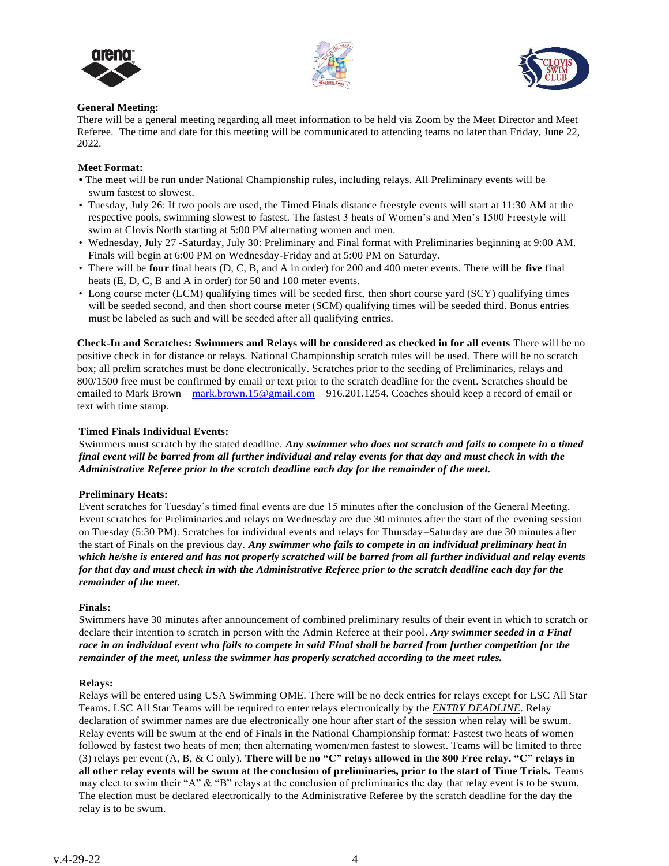





# **General Meeting:**

There will be a general meeting regarding all meet information to be held via Zoom by the Meet Director and Meet Referee. The time and date for this meeting will be communicated to attending teams no later than Friday, June 22, 2022.

# **Meet Format:**

- **•** The meet will be run under National Championship rules, including relays. All Preliminary events will be swum fastest to slowest.
- Tuesday, July 26: If two pools are used, the Timed Finals distance freestyle events will start at 11:30 AM at the respective pools, swimming slowest to fastest. The fastest 3 heats of Women's and Men's 1500 Freestyle will swim at Clovis North starting at 5:00 PM alternating women and men.
- Wednesday, July 27 -Saturday, July 30: Preliminary and Final format with Preliminaries beginning at 9:00 AM. Finals will begin at 6:00 PM on Wednesday-Friday and at 5:00 PM on Saturday.
- There will be **four** final heats (D, C, B, and A in order) for 200 and 400 meter events. There will be **five** final heats (E, D, C, B and A in order) for 50 and 100 meter events.
- Long course meter (LCM) qualifying times will be seeded first, then short course yard (SCY) qualifying times will be seeded second, and then short course meter (SCM) qualifying times will be seeded third. Bonus entries must be labeled as such and will be seeded after all qualifying entries.

**Check-In and Scratches: Swimmers and Relays will be considered as checked in for all events** There will be no positive check in for distance or relays. National Championship scratch rules will be used. There will be no scratch box; all prelim scratches must be done electronically. Scratches prior to the seeding of Preliminaries, relays and 800/1500 free must be confirmed by email or text prior to the scratch deadline for the event. Scratches should be emailed to Mark Brown – mark.brown.15@gmail.com – 916.201.1254. Coaches should keep a record of email or text with time stamp.

# **Timed Finals Individual Events:**

Swimmers must scratch by the stated deadline. *Any swimmer who does not scratch and fails to compete in a timed final event will be barred from all further individual and relay events for that day and must check in with the Administrative Referee prior to the scratch deadline each day for the remainder of the meet.*

# **Preliminary Heats:**

Event scratches for Tuesday's timed final events are due 15 minutes after the conclusion of the General Meeting. Event scratches for Preliminaries and relays on Wednesday are due 30 minutes after the start of the evening session on Tuesday (5:30 PM). Scratches for individual events and relays for Thursday–Saturday are due 30 minutes after the start of Finals on the previous day. *Any swimmer who fails to compete in an individual preliminary heat in which he/she is entered and has not properly scratched will be barred from all further individual and relay events for that day and must check in with the Administrative Referee prior to the scratch deadline each day for the remainder of the meet.*

# **Finals:**

Swimmers have 30 minutes after announcement of combined preliminary results of their event in which to scratch or declare their intention to scratch in person with the Admin Referee at their pool. *Any swimmer seeded in a Final race in an individual event who fails to compete in said Final shall be barred from further competition for the remainder of the meet, unless the swimmer has properly scratched according to the meet rules.*

# **Relays:**

Relays will be entered using USA Swimming OME. There will be no deck entries for relays except for LSC All Star Teams. LSC All Star Teams will be required to enter relays electronically by the *ENTRY DEADLINE*. Relay declaration of swimmer names are due electronically one hour after start of the session when relay will be swum. Relay events will be swum at the end of Finals in the National Championship format: Fastest two heats of women followed by fastest two heats of men; then alternating women/men fastest to slowest. Teams will be limited to three (3) relays per event (A, B, & C only). **There will be no "C" relays allowed in the 800 Free relay. "C" relays in all other relay events will be swum at the conclusion of preliminaries, prior to the start of Time Trials.** Teams may elect to swim their "A" & "B" relays at the conclusion of preliminaries the day that relay event is to be swum. The election must be declared electronically to the Administrative Referee by the scratch deadline for the day the relay is to be swum.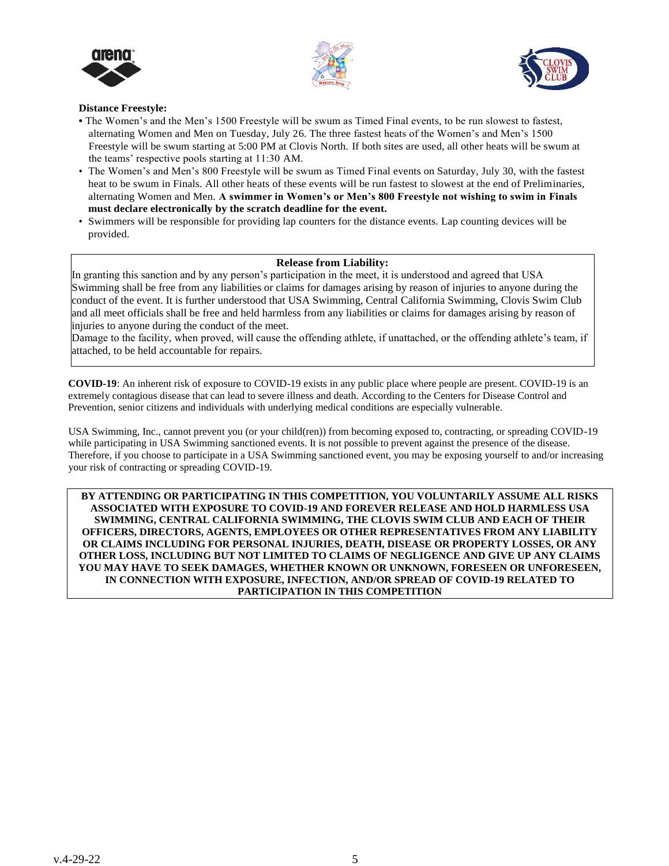





# **Distance Freestyle:**

- **•** The Women's and the Men's 1500 Freestyle will be swum as Timed Final events, to be run slowest to fastest, alternating Women and Men on Tuesday, July 26. The three fastest heats of the Women's and Men's 1500 Freestyle will be swum starting at 5:00 PM at Clovis North. If both sites are used, all other heats will be swum at the teams' respective pools starting at 11:30 AM.
- The Women's and Men's 800 Freestyle will be swum as Timed Final events on Saturday, July 30, with the fastest heat to be swum in Finals. All other heats of these events will be run fastest to slowest at the end of Preliminaries, alternating Women and Men. **A swimmer in Women's or Men's 800 Freestyle not wishing to swim in Finals must declare electronically by the scratch deadline for the event.**
- Swimmers will be responsible for providing lap counters for the distance events. Lap counting devices will be provided.

# **Release from Liability:**

In granting this sanction and by any person's participation in the meet, it is understood and agreed that USA Swimming shall be free from any liabilities or claims for damages arising by reason of injuries to anyone during the conduct of the event. It is further understood that USA Swimming, Central California Swimming, Clovis Swim Club and all meet officials shall be free and held harmless from any liabilities or claims for damages arising by reason of injuries to anyone during the conduct of the meet.

Damage to the facility, when proved, will cause the offending athlete, if unattached, or the offending athlete's team, if attached, to be held accountable for repairs.

**COVID-19**: An inherent risk of exposure to COVID-19 exists in any public place where people are present. COVID-19 is an extremely contagious disease that can lead to severe illness and death. According to the Centers for Disease Control and Prevention, senior citizens and individuals with underlying medical conditions are especially vulnerable.

USA Swimming, Inc., cannot prevent you (or your child(ren)) from becoming exposed to, contracting, or spreading COVID-19 while participating in USA Swimming sanctioned events. It is not possible to prevent against the presence of the disease. Therefore, if you choose to participate in a USA Swimming sanctioned event, you may be exposing yourself to and/or increasing your risk of contracting or spreading COVID-19.

**BY ATTENDING OR PARTICIPATING IN THIS COMPETITION, YOU VOLUNTARILY ASSUME ALL RISKS ASSOCIATED WITH EXPOSURE TO COVID-19 AND FOREVER RELEASE AND HOLD HARMLESS USA SWIMMING, CENTRAL CALIFORNIA SWIMMING, THE CLOVIS SWIM CLUB AND EACH OF THEIR OFFICERS, DIRECTORS, AGENTS, EMPLOYEES OR OTHER REPRESENTATIVES FROM ANY LIABILITY OR CLAIMS INCLUDING FOR PERSONAL INJURIES, DEATH, DISEASE OR PROPERTY LOSSES, OR ANY OTHER LOSS, INCLUDING BUT NOT LIMITED TO CLAIMS OF NEGLIGENCE AND GIVE UP ANY CLAIMS YOU MAY HAVE TO SEEK DAMAGES, WHETHER KNOWN OR UNKNOWN, FORESEEN OR UNFORESEEN, IN CONNECTION WITH EXPOSURE, INFECTION, AND/OR SPREAD OF COVID-19 RELATED TO PARTICIPATION IN THIS COMPETITION**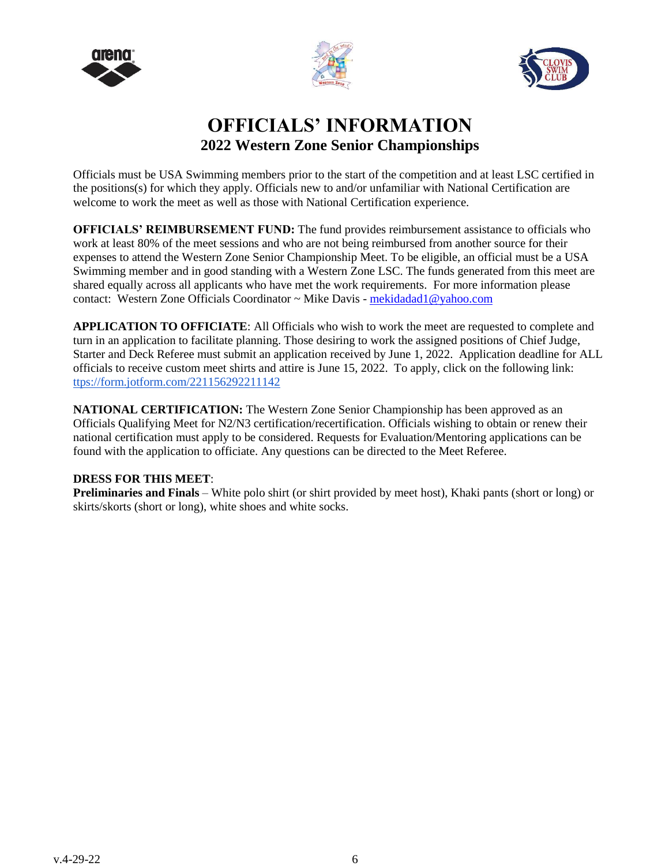





# **OFFICIALS' INFORMATION 2022 Western Zone Senior Championships**

Officials must be USA Swimming members prior to the start of the competition and at least LSC certified in the positions(s) for which they apply. Officials new to and/or unfamiliar with National Certification are welcome to work the meet as well as those with National Certification experience.

**OFFICIALS' REIMBURSEMENT FUND:** The fund provides reimbursement assistance to officials who work at least 80% of the meet sessions and who are not being reimbursed from another source for their expenses to attend the Western Zone Senior Championship Meet. To be eligible, an official must be a USA Swimming member and in good standing with a Western Zone LSC. The funds generated from this meet are shared equally across all applicants who have met the work requirements. For more information please contact: Western Zone Officials Coordinator ~ Mike Davis - mekidadad1@yahoo.com

**APPLICATION TO OFFICIATE**: All Officials who wish to work the meet are requested to complete and turn in an application to facilitate planning. Those desiring to work the assigned positions of Chief Judge, Starter and Deck Referee must submit an application received by June 1, 2022. Application deadline for ALL officials to receive custom meet shirts and attire is June 15, 2022. To apply, click on the following link: ttps://form.jotform.com/221156292211142

**NATIONAL CERTIFICATION:** The Western Zone Senior Championship has been approved as an Officials Qualifying Meet for N2/N3 certification/recertification. Officials wishing to obtain or renew their national certification must apply to be considered. Requests for Evaluation/Mentoring applications can be found with the application to officiate. Any questions can be directed to the Meet Referee.

# **DRESS FOR THIS MEET**:

**Preliminaries and Finals** – White polo shirt (or shirt provided by meet host), Khaki pants (short or long) or skirts/skorts (short or long), white shoes and white socks.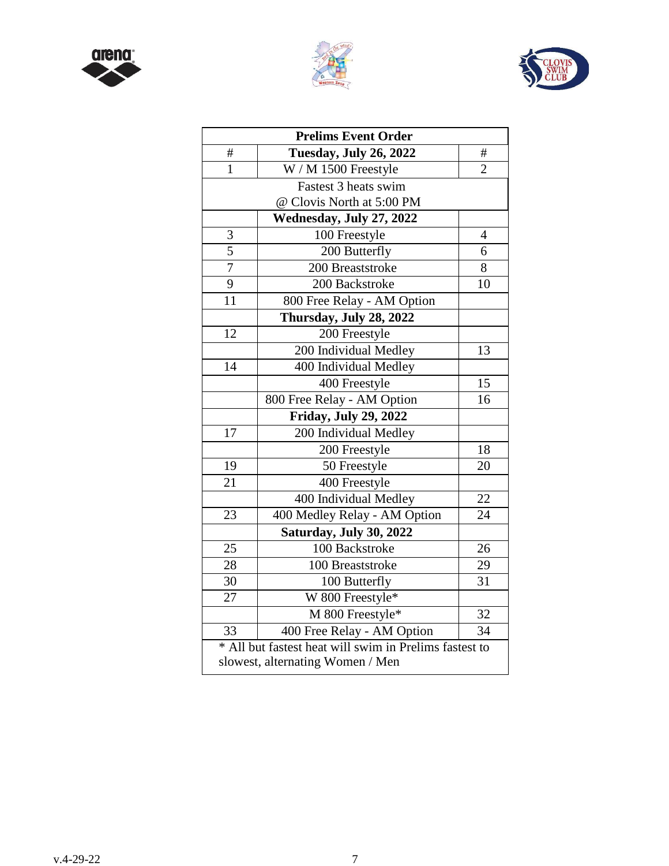





| <b>Prelims Event Order</b>                             |                                  |                 |  |  |  |  |  |
|--------------------------------------------------------|----------------------------------|-----------------|--|--|--|--|--|
| #                                                      | <b>Tuesday, July 26, 2022</b>    | #               |  |  |  |  |  |
| $\mathbf{1}$                                           | W / M 1500 Freestyle             | $\overline{2}$  |  |  |  |  |  |
| Fastest 3 heats swim                                   |                                  |                 |  |  |  |  |  |
|                                                        | @ Clovis North at 5:00 PM        |                 |  |  |  |  |  |
|                                                        | Wednesday, July 27, 2022         |                 |  |  |  |  |  |
| 3                                                      | 100 Freestyle                    | $\overline{4}$  |  |  |  |  |  |
| $\overline{5}$                                         | 200 Butterfly                    | 6               |  |  |  |  |  |
| $\overline{7}$                                         | 200 Breaststroke                 | 8               |  |  |  |  |  |
| 9                                                      | 200 Backstroke                   | 10              |  |  |  |  |  |
| 11                                                     | 800 Free Relay - AM Option       |                 |  |  |  |  |  |
|                                                        | Thursday, July 28, 2022          |                 |  |  |  |  |  |
| 12                                                     | 200 Freestyle                    |                 |  |  |  |  |  |
|                                                        | 200 Individual Medley            | 13              |  |  |  |  |  |
| 14                                                     | 400 Individual Medley            |                 |  |  |  |  |  |
|                                                        | 400 Freestyle                    | 15              |  |  |  |  |  |
|                                                        | 800 Free Relay - AM Option       | 16              |  |  |  |  |  |
|                                                        | <b>Friday, July 29, 2022</b>     |                 |  |  |  |  |  |
| 17                                                     | 200 Individual Medley            |                 |  |  |  |  |  |
|                                                        | 200 Freestyle                    | 18              |  |  |  |  |  |
| 19                                                     | 50 Freestyle                     | 20              |  |  |  |  |  |
| 21                                                     | 400 Freestyle                    |                 |  |  |  |  |  |
|                                                        | 400 Individual Medley            | 22              |  |  |  |  |  |
| 23                                                     | 400 Medley Relay - AM Option     | 24              |  |  |  |  |  |
|                                                        | Saturday, July 30, 2022          |                 |  |  |  |  |  |
| 25                                                     | 100 Backstroke                   | 26              |  |  |  |  |  |
| 28                                                     | 100 Breaststroke                 | 29              |  |  |  |  |  |
| 30                                                     | 100 Butterfly                    | 31              |  |  |  |  |  |
| 27                                                     | W 800 Freestyle*                 |                 |  |  |  |  |  |
|                                                        | M 800 Freestyle*                 | $\overline{32}$ |  |  |  |  |  |
| 33                                                     | 400 Free Relay - AM Option       | 34              |  |  |  |  |  |
| * All but fastest heat will swim in Prelims fastest to |                                  |                 |  |  |  |  |  |
|                                                        | slowest, alternating Women / Men |                 |  |  |  |  |  |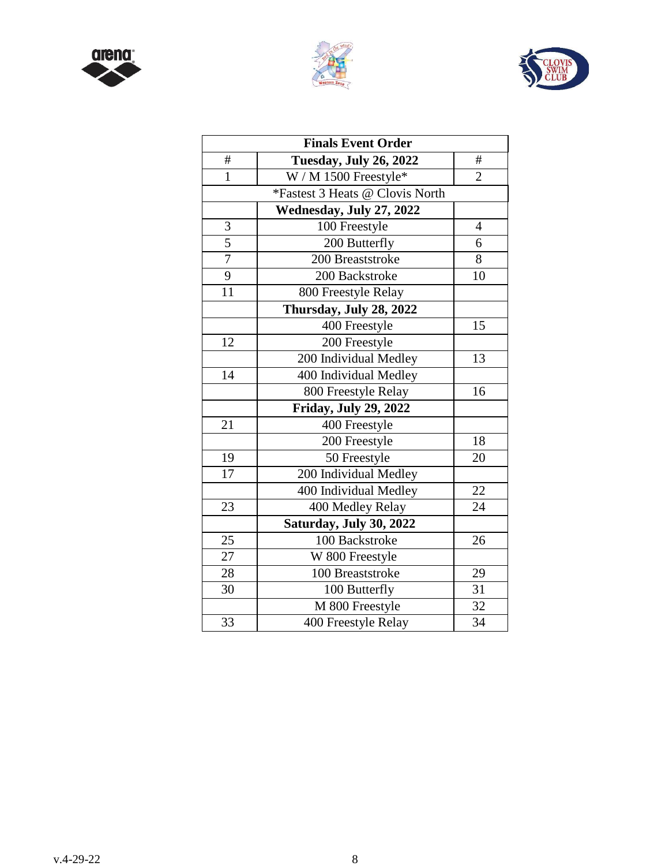





|                | <b>Finals Event Order</b>       |                |
|----------------|---------------------------------|----------------|
| #              | <b>Tuesday, July 26, 2022</b>   | #              |
| $\mathbf{1}$   | W / M 1500 Freestyle*           | $\overline{2}$ |
|                | *Fastest 3 Heats @ Clovis North |                |
|                | Wednesday, July 27, 2022        |                |
| $\mathfrak{Z}$ | 100 Freestyle                   | $\overline{4}$ |
| $\overline{5}$ | 200 Butterfly                   | 6              |
| $\overline{7}$ | 200 Breaststroke                | 8              |
| 9              | 200 Backstroke                  | 10             |
| 11             | 800 Freestyle Relay             |                |
|                | Thursday, July 28, 2022         |                |
|                | 400 Freestyle                   | 15             |
| 12             | 200 Freestyle                   |                |
|                | 200 Individual Medley           | 13             |
| 14             | 400 Individual Medley           |                |
|                | 800 Freestyle Relay             | 16             |
|                | Friday, July 29, 2022           |                |
| 21             | 400 Freestyle                   |                |
|                | 200 Freestyle                   | 18             |
| 19             | 50 Freestyle                    | 20             |
| 17             | 200 Individual Medley           |                |
|                | 400 Individual Medley           | 22             |
| 23             | 400 Medley Relay                | 24             |
|                | Saturday, July 30, 2022         |                |
| 25             | 100 Backstroke                  | 26             |
| 27             | W 800 Freestyle                 |                |
| 28             | 100 Breaststroke                | 29             |
| 30             | 100 Butterfly                   | 31             |
|                | M 800 Freestyle                 | 32             |
| 33             | 400 Freestyle Relay             | 34             |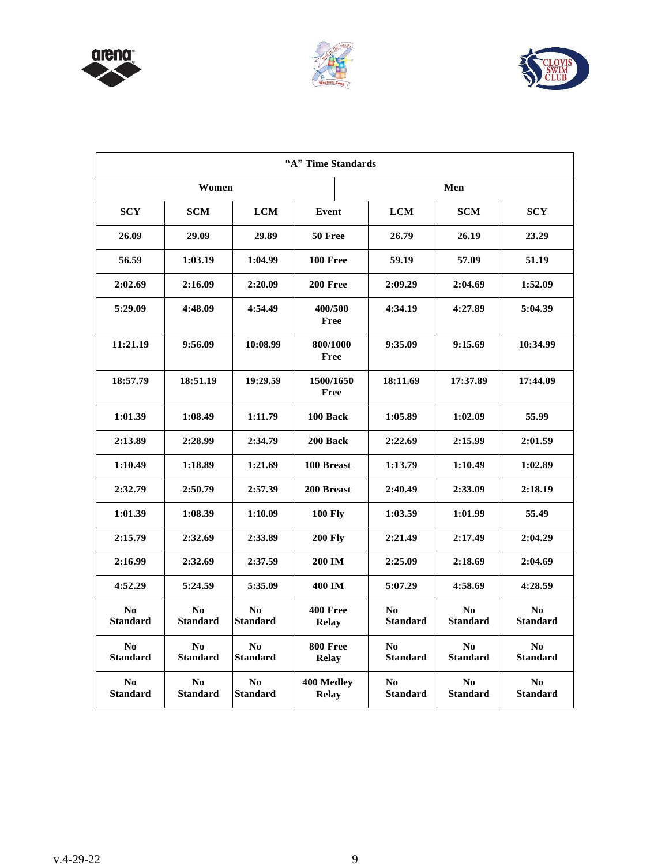





| "A" Time Standards                |                                   |                                   |                            |                                           |                                   |                                   |  |
|-----------------------------------|-----------------------------------|-----------------------------------|----------------------------|-------------------------------------------|-----------------------------------|-----------------------------------|--|
| Women                             |                                   |                                   |                            | Men                                       |                                   |                                   |  |
| <b>SCY</b>                        | <b>SCM</b>                        | <b>LCM</b>                        | Event                      | <b>LCM</b>                                | <b>SCM</b>                        | <b>SCY</b>                        |  |
| 26.09                             | 29.09                             | 29.89                             | 50 Free                    | 26.79                                     | 26.19                             | 23.29                             |  |
| 56.59                             | 1:03.19                           | 1:04.99                           | 100 Free                   | 59.19                                     | 57.09                             | 51.19                             |  |
| 2:02.69                           | 2:16.09                           | 2:20.09                           | 200 Free                   | 2:09.29                                   | 2:04.69                           | 1:52.09                           |  |
| 5:29.09                           | 4:48.09                           | 4:54.49                           | 400/500<br>Free            | 4:34.19                                   | 4:27.89                           | 5:04.39                           |  |
| 11:21.19                          | 9:56.09                           | 10:08.99                          | 800/1000<br>Free           | 9:35.09                                   | 9:15.69                           | 10:34.99                          |  |
| 18:57.79                          | 18:51.19                          | 19:29.59                          | 1500/1650<br>Free          | 18:11.69                                  | 17:37.89                          | 17:44.09                          |  |
| 1:01.39                           | 1:08.49                           | 1:11.79                           | 100 Back                   | 1:05.89                                   | 1:02.09                           | 55.99                             |  |
| 2:13.89                           | 2:28.99                           | 2:34.79                           | 200 Back                   | 2:22.69                                   | 2:15.99                           | 2:01.59                           |  |
| 1:10.49                           | 1:18.89                           | 1:21.69                           | 100 Breast                 | 1:13.79                                   | 1:10.49                           | 1:02.89                           |  |
| 2:32.79                           | 2:50.79                           | 2:57.39                           | 200 Breast                 | 2:40.49                                   | 2:33.09                           | 2:18.19                           |  |
| 1:01.39                           | 1:08.39                           | 1:10.09                           | <b>100 Fly</b>             | 1:03.59                                   | 1:01.99                           | 55.49                             |  |
| 2:15.79                           | 2:32.69                           | 2:33.89                           | <b>200 Fly</b>             | 2:21.49                                   | 2:17.49                           | 2:04.29                           |  |
| 2:16.99                           | 2:32.69                           | 2:37.59                           | <b>200 IM</b>              | 2:25.09                                   | 2:18.69                           | 2:04.69                           |  |
| 4:52.29                           | 5:24.59                           | 5:35.09                           | 400 IM                     | 5:07.29                                   | 4:58.69                           | 4:28.59                           |  |
| N <sub>0</sub><br><b>Standard</b> | No<br><b>Standard</b>             | No<br><b>Standard</b>             | 400 Free<br><b>Relay</b>   | $\bf No$<br><b>Standard</b>               | N <sub>0</sub><br><b>Standard</b> | No<br><b>Standard</b>             |  |
| N <sub>0</sub><br><b>Standard</b> | No<br><b>Standard</b>             | N <sub>0</sub><br><b>Standard</b> | 800 Free<br><b>Relay</b>   | $\mathbf{N}\mathbf{0}$<br><b>Standard</b> | No<br><b>Standard</b>             | No<br><b>Standard</b>             |  |
| N <sub>0</sub><br><b>Standard</b> | N <sub>0</sub><br><b>Standard</b> | N <sub>0</sub><br><b>Standard</b> | 400 Medley<br><b>Relay</b> | No<br><b>Standard</b>                     | N <sub>0</sub><br><b>Standard</b> | N <sub>0</sub><br><b>Standard</b> |  |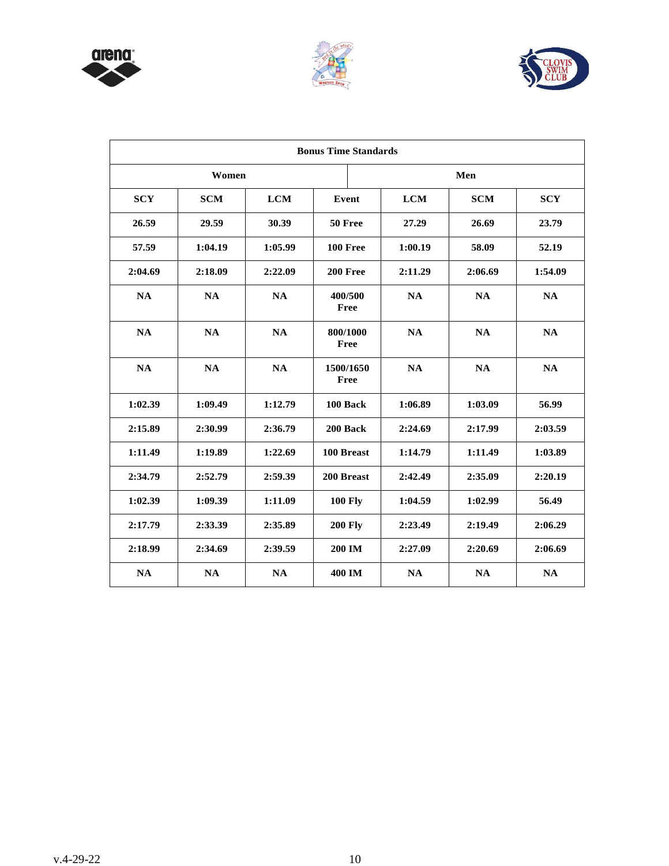





|            | <b>Bonus Time Standards</b> |            |                   |  |            |            |            |
|------------|-----------------------------|------------|-------------------|--|------------|------------|------------|
|            | Women                       |            |                   |  |            | Men        |            |
| <b>SCY</b> | <b>SCM</b>                  | <b>LCM</b> | Event             |  | <b>LCM</b> | <b>SCM</b> | <b>SCY</b> |
| 26.59      | 29.59                       | 30.39      | 50 Free           |  | 27.29      | 26.69      | 23.79      |
| 57.59      | 1:04.19                     | 1:05.99    | 100 Free          |  | 1:00.19    | 58.09      | 52.19      |
| 2:04.69    | 2:18.09                     | 2:22.09    | 200 Free          |  | 2:11.29    | 2:06.69    | 1:54.09    |
| <b>NA</b>  | NA                          | <b>NA</b>  | 400/500<br>Free   |  | <b>NA</b>  | <b>NA</b>  | <b>NA</b>  |
| NA         | NA                          | NA         | 800/1000<br>Free  |  | <b>NA</b>  | <b>NA</b>  | NA         |
| NA         | NA                          | <b>NA</b>  | 1500/1650<br>Free |  | <b>NA</b>  | <b>NA</b>  | <b>NA</b>  |
| 1:02.39    | 1:09.49                     | 1:12.79    | 100 Back          |  | 1:06.89    | 1:03.09    | 56.99      |
| 2:15.89    | 2:30.99                     | 2:36.79    | 200 Back          |  | 2:24.69    | 2:17.99    | 2:03.59    |
| 1:11.49    | 1:19.89                     | 1:22.69    | 100 Breast        |  | 1:14.79    | 1:11.49    | 1:03.89    |
| 2:34.79    | 2:52.79                     | 2:59.39    | 200 Breast        |  | 2:42.49    | 2:35.09    | 2:20.19    |
| 1:02.39    | 1:09.39                     | 1:11.09    | <b>100 Fly</b>    |  | 1:04.59    | 1:02.99    | 56.49      |
| 2:17.79    | 2:33.39                     | 2:35.89    | <b>200 Fly</b>    |  | 2:23.49    | 2:19.49    | 2:06.29    |
| 2:18.99    | 2:34.69                     | 2:39.59    | 200 IM            |  | 2:27.09    | 2:20.69    | 2:06.69    |
| NA         | NA                          | NA         | 400 IM            |  | <b>NA</b>  | <b>NA</b>  | NA         |